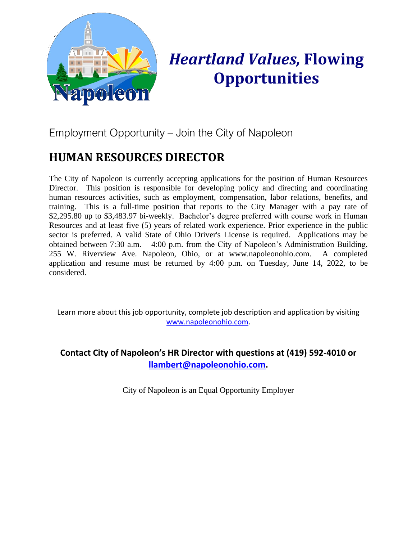

# *Heartland Values,* **Flowing Opportunities**

# Employment Opportunity – Join the City of Napoleon

# **HUMAN RESOURCES DIRECTOR**

The City of Napoleon is currently accepting applications for the position of Human Resources Director. This position is responsible for developing policy and directing and coordinating human resources activities, such as employment, compensation, labor relations, benefits, and training. This is a full-time position that reports to the City Manager with a pay rate of \$2,295.80 up to \$3,483.97 bi-weekly. Bachelor's degree preferred with course work in Human Resources and at least five (5) years of related work experience. Prior experience in the public sector is preferred. A valid State of Ohio Driver's License is required. Applications may be obtained between 7:30 a.m. – 4:00 p.m. from the City of Napoleon's Administration Building, 255 W. Riverview Ave. Napoleon, Ohio, or at www.napoleonohio.com. A completed application and resume must be returned by 4:00 p.m. on Tuesday, June 14, 2022, to be considered.

Learn more about this job opportunity, complete job description and application by visiting [www.napoleonohio.com.](http://www.napoleonohio.com/)

## **Contact City of Napoleon's HR Director with questions at (419) 592-4010 or [llambert@napoleonohio.com.](mailto:llambert@napoleonohio.com)**

City of Napoleon is an Equal Opportunity Employer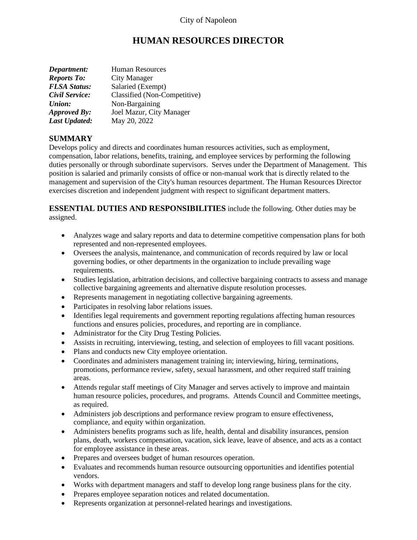# **HUMAN RESOURCES DIRECTOR**

| Department:          | Human Resources              |
|----------------------|------------------------------|
| <b>Reports To:</b>   | City Manager                 |
| <b>FLSA Status:</b>  | Salaried (Exempt)            |
| Civil Service:       | Classified (Non-Competitive) |
| Union:               | Non-Bargaining               |
| <b>Approved By:</b>  | Joel Mazur, City Manager     |
| <b>Last Updated:</b> | May 20, 2022                 |

#### **SUMMARY**

Develops policy and directs and coordinates human resources activities, such as employment, compensation, labor relations, benefits, training, and employee services by performing the following duties personally or through subordinate supervisors. Serves under the Department of Management. This position is salaried and primarily consists of office or non-manual work that is directly related to the management and supervision of the City's human resources department. The Human Resources Director exercises discretion and independent judgment with respect to significant department matters.

**ESSENTIAL DUTIES AND RESPONSIBILITIES** include the following. Other duties may be assigned.

- Analyzes wage and salary reports and data to determine competitive compensation plans for both represented and non-represented employees.
- Oversees the analysis, maintenance, and communication of records required by law or local governing bodies, or other departments in the organization to include prevailing wage requirements.
- Studies legislation, arbitration decisions, and collective bargaining contracts to assess and manage collective bargaining agreements and alternative dispute resolution processes.
- Represents management in negotiating collective bargaining agreements.
- Participates in resolving labor relations issues.
- Identifies legal requirements and government reporting regulations affecting human resources functions and ensures policies, procedures, and reporting are in compliance.
- Administrator for the City Drug Testing Policies.
- Assists in recruiting, interviewing, testing, and selection of employees to fill vacant positions.
- Plans and conducts new City employee orientation.
- Coordinates and administers management training in; interviewing, hiring, terminations, promotions, performance review, safety, sexual harassment, and other required staff training areas.
- Attends regular staff meetings of City Manager and serves actively to improve and maintain human resource policies, procedures, and programs. Attends Council and Committee meetings, as required.
- Administers job descriptions and performance review program to ensure effectiveness, compliance, and equity within organization.
- Administers benefits programs such as life, health, dental and disability insurances, pension plans, death, workers compensation, vacation, sick leave, leave of absence, and acts as a contact for employee assistance in these areas.
- Prepares and oversees budget of human resources operation.
- Evaluates and recommends human resource outsourcing opportunities and identifies potential vendors.
- Works with department managers and staff to develop long range business plans for the city.
- Prepares employee separation notices and related documentation.
- Represents organization at personnel-related hearings and investigations.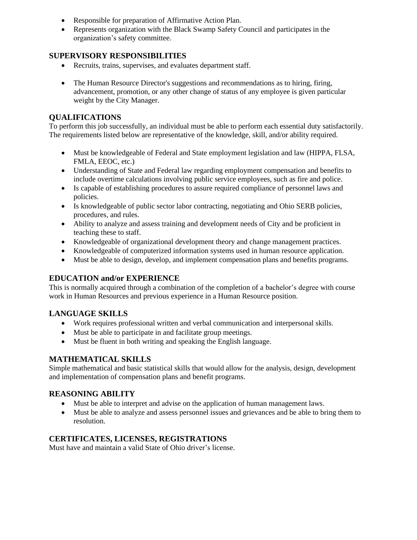- Responsible for preparation of Affirmative Action Plan.
- Represents organization with the Black Swamp Safety Council and participates in the organization's safety committee.

#### **SUPERVISORY RESPONSIBILITIES**

- Recruits, trains, supervises, and evaluates department staff.
- The Human Resource Director's suggestions and recommendations as to hiring, firing, advancement, promotion, or any other change of status of any employee is given particular weight by the City Manager.

#### **QUALIFICATIONS**

To perform this job successfully, an individual must be able to perform each essential duty satisfactorily. The requirements listed below are representative of the knowledge, skill, and/or ability required.

- Must be knowledgeable of Federal and State employment legislation and law (HIPPA, FLSA, FMLA, EEOC, etc.)
- Understanding of State and Federal law regarding employment compensation and benefits to include overtime calculations involving public service employees, such as fire and police.
- Is capable of establishing procedures to assure required compliance of personnel laws and policies.
- Is knowledgeable of public sector labor contracting, negotiating and Ohio SERB policies, procedures, and rules.
- Ability to analyze and assess training and development needs of City and be proficient in teaching these to staff.
- Knowledgeable of organizational development theory and change management practices.
- Knowledgeable of computerized information systems used in human resource application.
- Must be able to design, develop, and implement compensation plans and benefits programs.

#### **EDUCATION and/or EXPERIENCE**

This is normally acquired through a combination of the completion of a bachelor's degree with course work in Human Resources and previous experience in a Human Resource position.

#### **LANGUAGE SKILLS**

- Work requires professional written and verbal communication and interpersonal skills.
- Must be able to participate in and facilitate group meetings.
- Must be fluent in both writing and speaking the English language.

#### **MATHEMATICAL SKILLS**

Simple mathematical and basic statistical skills that would allow for the analysis, design, development and implementation of compensation plans and benefit programs.

#### **REASONING ABILITY**

- Must be able to interpret and advise on the application of human management laws.
- Must be able to analyze and assess personnel issues and grievances and be able to bring them to resolution.

#### **CERTIFICATES, LICENSES, REGISTRATIONS**

Must have and maintain a valid State of Ohio driver's license.